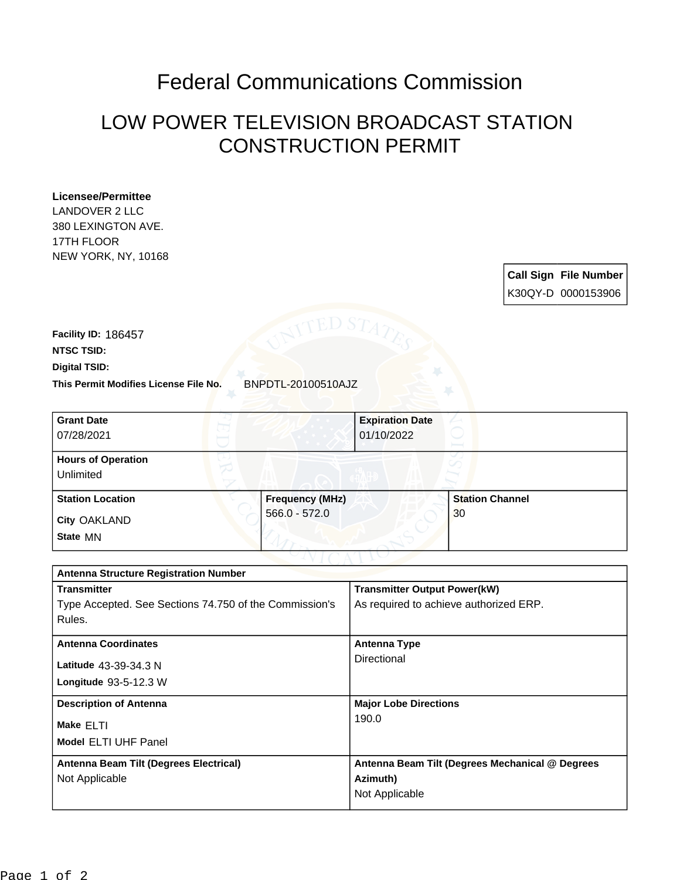## Federal Communications Commission

## LOW POWER TELEVISION BROADCAST STATION CONSTRUCTION PERMIT

## **Licensee/Permittee**

LANDOVER 2 LLC 380 LEXINGTON AVE. 17TH FLOOR NEW YORK, NY, 10168

> **Call Sign File Number** K30QY-D 0000153906

**This Permit Modifies License File No.** BNPDTL-20100510AJZ **Digital TSID: NTSC TSID: Facility ID:** 186457

| <b>Grant Date</b><br>07/28/2021        |                        | <b>Expiration Date</b><br>01/10/2022 |
|----------------------------------------|------------------------|--------------------------------------|
| <b>Hours of Operation</b><br>Unlimited |                        |                                      |
| <b>Station Location</b>                | <b>Frequency (MHz)</b> | <b>Station Channel</b>               |
| <b>City OAKLAND</b><br>State MN        | 566.0 - 572.0          | 30                                   |

| <b>Antenna Structure Registration Number</b>           |                                                 |  |  |
|--------------------------------------------------------|-------------------------------------------------|--|--|
| <b>Transmitter</b>                                     | <b>Transmitter Output Power(kW)</b>             |  |  |
| Type Accepted. See Sections 74.750 of the Commission's | As required to achieve authorized ERP.          |  |  |
| Rules.                                                 |                                                 |  |  |
| <b>Antenna Coordinates</b>                             | <b>Antenna Type</b>                             |  |  |
| Latitude 43-39-34.3 N                                  | Directional                                     |  |  |
| Longitude $93-5-12.3$ W                                |                                                 |  |  |
|                                                        |                                                 |  |  |
| <b>Description of Antenna</b>                          | <b>Major Lobe Directions</b>                    |  |  |
| Make ELTI                                              | 190.0                                           |  |  |
| <b>Model ELTI UHF Panel</b>                            |                                                 |  |  |
|                                                        |                                                 |  |  |
| Antenna Beam Tilt (Degrees Electrical)                 | Antenna Beam Tilt (Degrees Mechanical @ Degrees |  |  |
| Not Applicable                                         | Azimuth)                                        |  |  |
|                                                        | Not Applicable                                  |  |  |
|                                                        |                                                 |  |  |